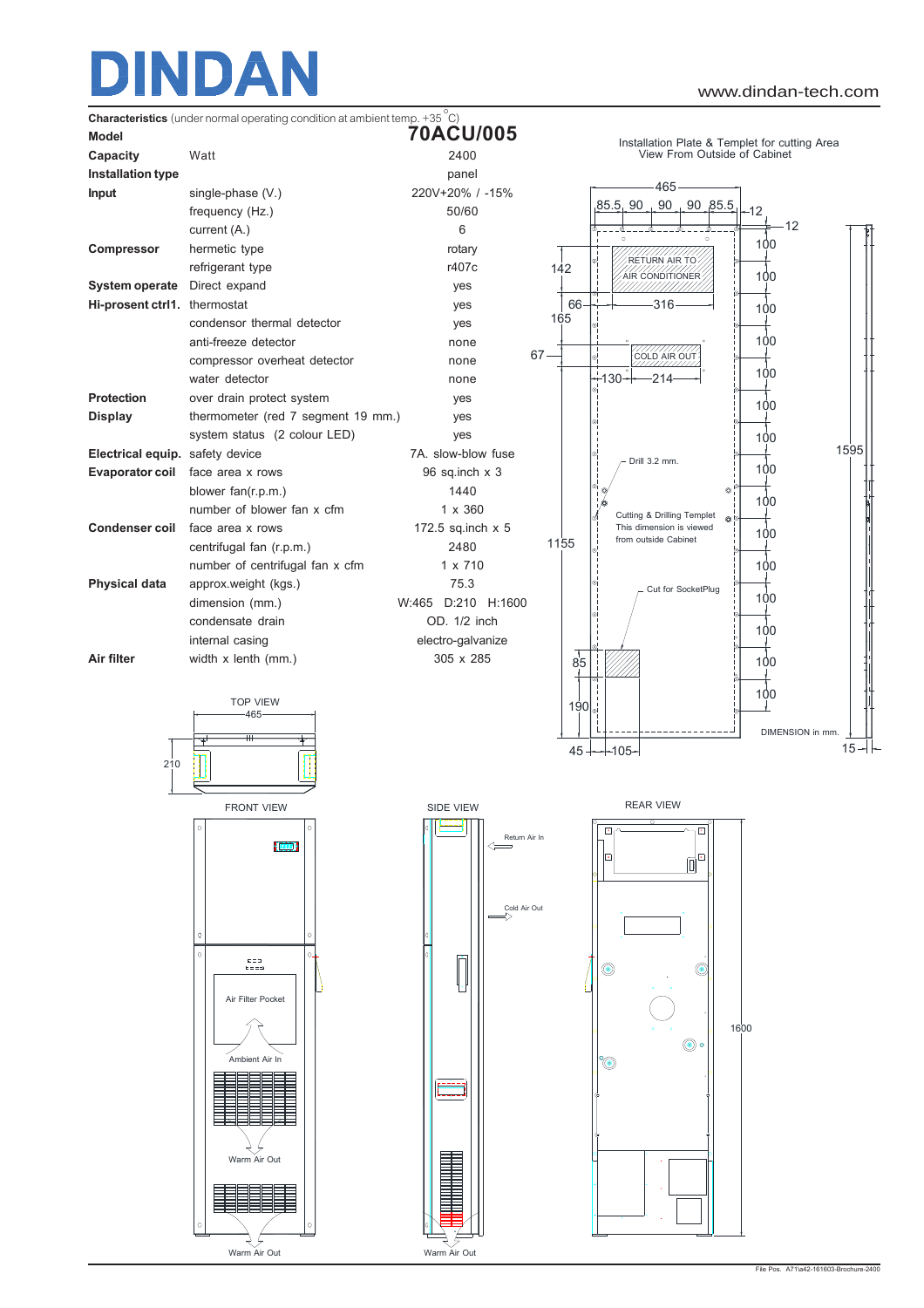

Warm Air Out



Warm Air Out